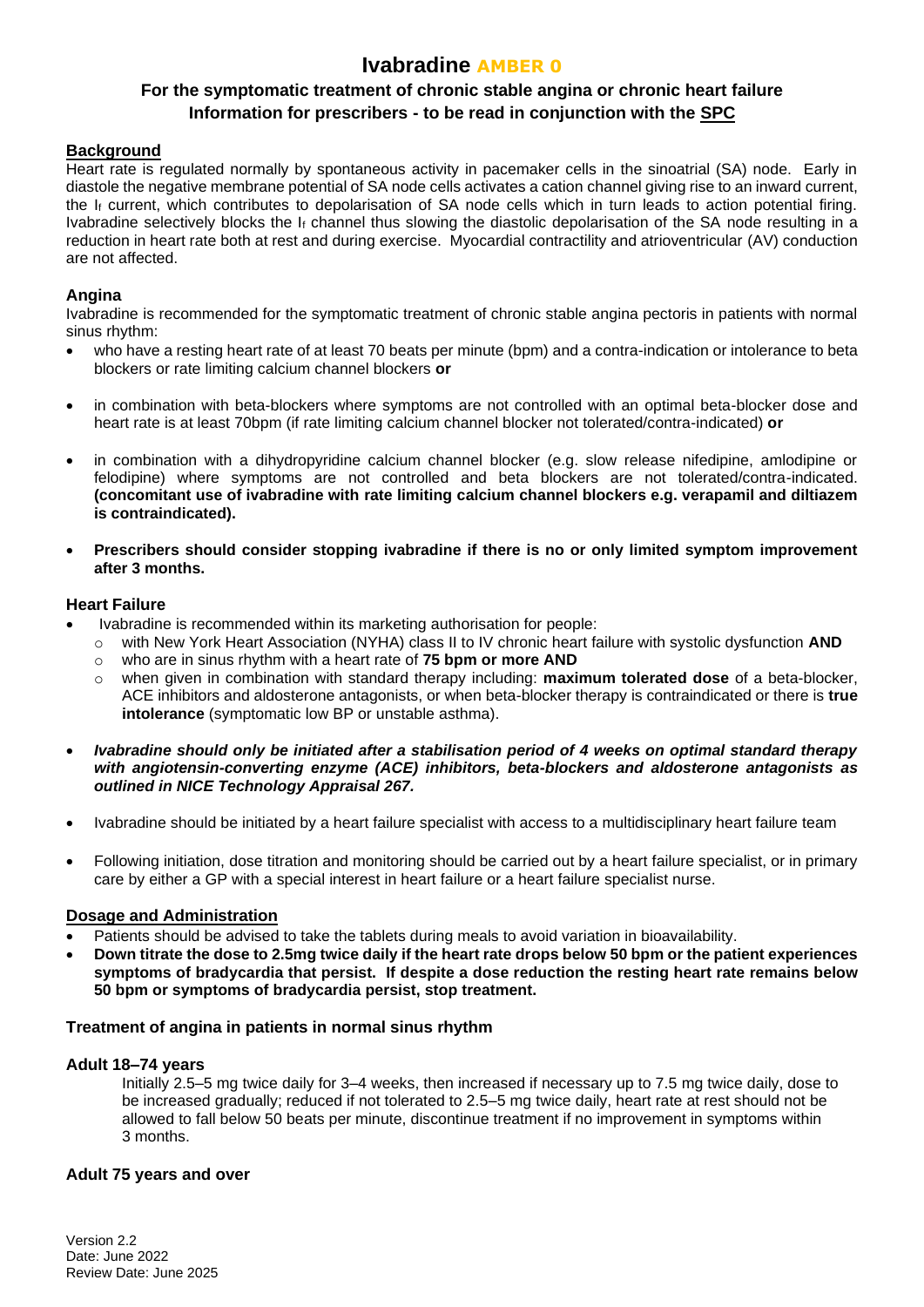# **Ivabradine AMBER 0**

## **For the symptomatic treatment of chronic stable angina or chronic heart failure Information for prescribers - to be read in conjunction with the [SPC](https://www.medicines.org.uk/emc/)**

### **Background**

Heart rate is regulated normally by spontaneous activity in pacemaker cells in the sinoatrial (SA) node. Early in diastole the negative membrane potential of SA node cells activates a cation channel giving rise to an inward current, the  $I_f$  current, which contributes to depolarisation of SA node cells which in turn leads to action potential firing. Ivabradine selectively blocks the I<sup>f</sup> channel thus slowing the diastolic depolarisation of the SA node resulting in a reduction in heart rate both at rest and during exercise. Myocardial contractility and atrioventricular (AV) conduction are not affected.

### **Angina**

Ivabradine is recommended for the symptomatic treatment of chronic stable angina pectoris in patients with normal sinus rhythm:

- who have a resting heart rate of at least 70 beats per minute (bpm) and a contra-indication or intolerance to beta blockers or rate limiting calcium channel blockers **or**
- in combination with beta-blockers where symptoms are not controlled with an optimal beta-blocker dose and heart rate is at least 70bpm (if rate limiting calcium channel blocker not tolerated/contra-indicated) **or**
- in combination with a dihydropyridine calcium channel blocker (e.g. slow release nifedipine, amlodipine or felodipine) where symptoms are not controlled and beta blockers are not tolerated/contra-indicated. **(concomitant use of ivabradine with rate limiting calcium channel blockers e.g. verapamil and diltiazem is contraindicated).**
- **Prescribers should consider stopping ivabradine if there is no or only limited symptom improvement after 3 months.**

#### **Heart Failure**

- Ivabradine is recommended within its marketing authorisation for people:
	- o with New York Heart Association (NYHA) class II to IV chronic heart failure with systolic dysfunction **AND**
	- o who are in sinus rhythm with a heart rate of **75 bpm or more AND**
	- o when given in combination with standard therapy including: **maximum tolerated dose** of a beta-blocker, ACE inhibitors and aldosterone antagonists, or when beta-blocker therapy is contraindicated or there is **true intolerance** (symptomatic low BP or unstable asthma).
- *Ivabradine should only be initiated after a stabilisation period of 4 weeks on optimal standard therapy with angiotensin-converting enzyme (ACE) inhibitors, beta-blockers and aldosterone antagonists as outlined in NICE Technology Appraisal 267.*
- Ivabradine should be initiated by a heart failure specialist with access to a multidisciplinary heart failure team
- Following initiation, dose titration and monitoring should be carried out by a heart failure specialist, or in primary care by either a GP with a special interest in heart failure or a heart failure specialist nurse.

### **Dosage and Administration**

- Patients should be advised to take the tablets during meals to avoid variation in bioavailability.
- **Down titrate the dose to 2.5mg twice daily if the heart rate drops below 50 bpm or the patient experiences symptoms of bradycardia that persist. If despite a dose reduction the resting heart rate remains below 50 bpm or symptoms of bradycardia persist, stop treatment.**

### **Treatment of angina in patients in normal sinus rhythm**

### **Adult 18–74 years**

Initially 2.5–5 mg twice daily for 3–4 weeks, then increased if necessary up to 7.5 mg twice daily, dose to be increased gradually; reduced if not tolerated to 2.5–5 mg twice daily, heart rate at rest should not be allowed to fall below 50 beats per minute, discontinue treatment if no improvement in symptoms within 3 months.

### **Adult 75 years and over**

Version 2.2 Date: June 2022 Review Date: June 2025